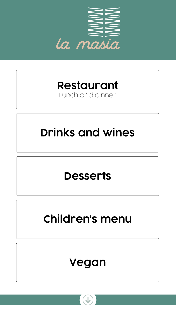<span id="page-0-0"></span>

### **[Restaurant](#page-1-0)**

### Lunch and dinner



# **[Children's menu](#page-4-0)**



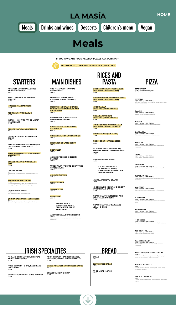**POTATOES WITH BRAVA SAUCE** 

**AND CURRY SAUCE** *8,00 €*

**FRIED CALAMARI WITH GREEN PEPPERS** *11,80 €*

**MUSSELS À LA MARINIÉRE** *11,00 €*

**RED PRAWN WITH GARLIC** *16,80 €*

**IBERIAN HAM WITH "PA DE VIDRE" (FLATBREAD)** *18,70 €*

**GRILLED NATURAL VEGETABLES** *9,50 €*

**CHICKEN FINGERS WITH CHEESE SAUCE** *10,90 €*

**BEEF CARPACCIO WITH PARMESAN CHEESE WITH PIZZA BREAD** *12,90 €*

**SALMON MARINATED WITH MANGO VINAIGRETTE** *13,90 €*

**GRILLED PRAWNS WITH BLACK SALT** *13,80 €*

**CAESAR SALAD** *9,80 € Mixed lettuce, chicken, croutons, parmesan cheese and Caesar sauce.*

**FRESH SEASONAL SALAD** *10,10 € Lettuce Hearts, mezclum salad mix, red endive, cherry tomato, quail eggs, anchovies, tuna, asparagus.*

**GOAT CHEESE SALAD** *10,50 € Goat cheese salad with caramelized apple.*

**QUINOA SALAD WITH VEGETABLES** *9,70 € Quinoa, lentils, tomato, black olives, apple and walnuts.*

**COD FILLET WITH NATURAL** 

**RATATOUILLE** *16,40 €*

**MONKFISH AND MUSSELS CASSEROLE WITH ROMESCO** *19,50 €*

**MONKFISH & PRAWN SKEWER SERVED WITH HAZELNUTS AND VINAIGRETTE** *18,90 €*

**BAKED HAKE SUPREME WITH IBERIAN HAM CREAM** *16,40 €*

**GRILLED SOLE SERVED WITH VEGETABLES** *20,90 €*

**GRILLED SALMON WITH GARNISH** *15,90 €*

**SHOULDER OF LAMB CONFIT** *19,50 €*

**BEEF FILLET** *22,80 €*

**GRILLED FISH AND SHELLFISH PLATTER** *22,90 €*

**TURBOT WITH TOMATO CONFIT AND GARLIC SAUCE** *17,90 €*

**CHICKEN SKEWER** *11,00 €*

**GRILLED LAMB** *17,50 €*

**SIRLON STEAK** *18,50 €*

**BEEF FILLET** *23,90 €*

> **PEPPER SAUCE MUSHROOM SAUCE BLUE CHEESE SAUCE WINE SAUCE**

**ANGUS SPECIAL BURGER (200GR)** *15,20 € Sesame seed bun, lettuce, brie cheese, onion, bacon and beef burger.*

**CHICKEN RICE WITH VEGETABLES** 

**(MÍN. 2 PAX | PRICE PER PAX)** *13,30 €*

**BLACK NOODLES WITH CUTTLEFISH (MÍN. 2 PAX | PRICE PER PAX)** *14,20 €*

**MIXED PAELLA (MIN 2 PAX | PRICE PER PAX)** *16,30 €*

**RICE À LA MARINIÉRE (MIN 2 PAX | PRICE PER PAX)** *16,90 €*

**MONKFISH AND PRAWN PAELLA (MÍN. 2 PAX | PRECIO POR PAX)** *17,90 €*

**SEÑORITO RICE (MIN. 2 PAX)** *17,90 €*

**RICE IN BROTH WITH LOBSTER** *22,50 €*

**RICE WITH PEAS, MUSHROOMS, PEPPERS AND TEXTURED SOY (MIN. 2 PAX)** *13,30 €*

**SPAGHETTI / MACARONI** *10,90 €*

<span id="page-1-0"></span>

**SAUCES TO CHOOSE: BOLOGNESE, PESTO, CARBONARA, NEAPOLITAN AND ARRABIATA.**

**MEAT LASAGNE 'AU GRATIN'** *11,80 €*

**NOODLE WOK, HEURA AND CRISPY WITH TERIYAKI SAUCE** *13,30 €*

**RIGATONI WITH CUTTLEFISH AND CARAMELIZED ONIONS** *11,20 €*

**RIGATONI WITH SANFAINA AND VEGAN CHEESE** *11,10 €*

**BREAD** *1,00 €*

**GLUTEN FREE BREAD** *1,00 €*

**PA DE VIDRE (4 UTS.)** *3,00 €*

**MARGARITA**

*11,00 € (30 cm) – 9,00 € (23 cm) Tomato sauce and mozzarella*

**VEGETAL** *12,90 € (30 cm) – 10,90 € (23 cm) Artichoke, mushrooms, courgette, red pepper, onion, tomato sauce and mozzarella*

**SALAMI** *12,90 € (30 cm) – 10,90 € (23 cm) Salami, tomato sauce and mozzarella*

**BACON** *12,90 € (30 cm) – 10,90 € (23 cm) Bacon, Emmental, tomato sauce and mozzarella*

**BARBACOA** *12,90 € (30 cm) – 10,90 € (23 cm) Mozzarella, barbecue sauce and tomato sauce*

**DIAVOLA** *12,90 € (30 cm) – 10,90 € (23 cm) Pepperoni, mushrooms, peppers, olives, tomato sauce, mozzarella*

**TUNA** *12,90 € (30 cm) – 10,90 € (23 cm) Tuna, tomato sauce and mozzarella*

**TROPICAL** *12,90 € (30 cm) – 10,90 € (23 cm) Cooked ham, pineapple, tomato sauce and mozzarella*

**CAPRICCIOSA** *12,90 € (30 cm) – 10,90 € (23 cm) Mushrooms, ham, peppers, olives, tomato sauce and mozzarella*

**CALZONE** *12,90 € (30 cm) – 10,90 € (23 cm) Egg, mushrooms, ham, tomato sauce and mozzarella*

**4 SEASONS** *12,90 € (30 cm) – 10,90 € (23 cm) Tomato, mozzarella, mushrooms, artichokes, ham, black olives*

**PEPPERONI** *12,90 € (30 cm) – 10,90 € (23 cm) Pepperoni, tomato sauce and Mozzarella*

**4 CHEESES** *12,90 € (30 cm) – 10,90 € (23 cm) Parmesan, emmental, roquefort, mozzarella, tomato sauce*

**PROSCIUTTO** *12,90 € (30 cm) – 10,90 € (23 cm) Ham, tomato sauce and mozzarella*

**CAMBRILS PARK** *12,90 € (30 cm) – 10,90 € (23 cm) Roquefort, Parmesan, cured ham, tomato sauce and mozzarella*

**PIZZA VEGGIE CAMBRILS PARK** *12,90 € Artichoke, mushrooms, courgette, red and green pepper, onion, tomato sauce and vegan mozzarella.*

**BURRATA & PESTO** *15,90 € Tomato sauce, mozzarella, burrata, pesto, rocket, cherry tomato and parmesan*

### **SMOKED SALMON** *15,90 € Tomato sauce, cream cheese, smoked salmon, arugula and capers*







**RICES AND PASTA**

**BREAD**

**PIZZA**

**IF YOU HAVE ANY FOOD ALLERGY PLEASE ASK OUR STAFF**



 **OPTIONAL GLUTEN FREE, PLEASE ASK OUR STAFF** 

**FISH AND CHIPS WITH MUSHY PEAS AND TARTARE SAUCE** *10,10 €*

**FRIED COD WITH CHIPS, BACON AND VEGETABLES** *16,00 €*

*11,30 €*

**PORK RIBS WITH BARBECUE SAUCE, POTATOES, BACON AND VEGETABLES** *15,90 €*

### **CHICKEN CURRY WITH CHIPS AND RICE** *13,80 €*

**BAKED POTATOES WITH CHEESE SAUCE** *8,20 €*

### **GRILLED WHISKY SHRIMP**

**IRISH SPECIALTIES**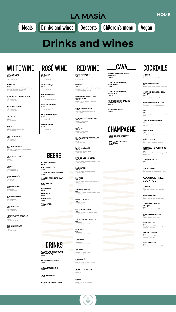**DE CASTA** *11,90 € Garnatxa Negra, Samsó D.O. CATALUNYA*

**DE CASTA 3/8** *6,70 € Garnatxa Negra, Samsó D.O. CATALUNYA*

**TREPAT ROSAT** *16,00 € Trepat D.O. CONCA DE BARBERa*

**OCTUBRE ROSAT** *14,00 € Samsó, Garnatxa Negra D.O. MONTSANT*

**AUGUSTUS ROSAT** *13,90 € Cabernet Sauvignon, Merlot D.O. PENEDÉS*

**CLOT D'ENCÍS** *11,00 € Garnatxa Negra, Syrah D.O. TERRA ALTA*

**ROSE BRUT RERSERVA**

*16,70 €*

**BRUT IMPERIAL MOET** 

**CHANDON**

*40,00 €*

**PETIT PITTACUM** *13,50 € Mencía D.O. BIERZO*

**VILOSELL** *16,50 € Cabernet Sauvignon, Garnatxa Negra, Merlot, Sirà, Tempranillo* 

*D.O. COSTERS DEL SEGRE*

**LINDES DE REMELLURI LABASTIDA** *18,00 € Garnatxa Negra, Morastell, Tempranillo D.O. LA RIOJA*

**CUNE CRIANZA 3/8** *8,30 € Tempranillo, Garnatxa Negra, Samsó D.O. LA RIOJA*

**MINERAL DEL MONTSANT** *16,20 € Garnatxa Negra, Samsó D.O. MONTSANT*

**ACÚSTIC** *18,90 € Garnatxa Negra, Samsó D.O. MONTSANT*

**LES SORTS VINYES VELLES** *20,40 € Samsó D.O. MONTSANT*

**JASPI MARAGDA** *18,50 € Sirà, Samsó, Garnatxa Negra D.O. MONTSANT*

**MAS DE LES MORERES** *18,10 € Cabernet Sauvignon, Samsó, Garnatxa Negra D.O. MONTSANT*

**PAS CURTEI** *18,70 € Cabernet Sauvignon, Samsó, Merlot D.O. PENEDÉS*

**ELS PICS** *20,10 €*

*Cabernet Sauvignon, Garnatxa Negra, Sirà,* 

*Samsó*

*D.O.Q PRIORAT*

**ARTIGAS NEGRE**

*24,30 €*

*Cabernet Sauvignon, Samsó, Garnatxa Negra*

*D.O.Q PRIORAT*

**LLUM D'ALENA**

*19,80 €*

*Garnatxa, Samsó D.O.Q PRIORAT*

**PETIT MAS SINÈN** *19,40 € Garnatxa, Samsó, Sirà, Cabernet, Merlot D.O.Q PRIORAT*

**VIÑA SASTRE CRIANZA** *23,80 € Tempranillo D.O. RIBERA DEL DUERO*

**FIGUEIRO 12** *21,90 € Tempranillo D.O. RIBERA DEL DUERO*

**VIZCARRA** *18,50 € Tempranillo D.O. RIBERA DEL DUERO*

**SOLIMAR** *11,20 € Cabernet Sauvignon, Merlot D.O. TARRAGONA*

**L'ARLEQUÍ**  *16,80 € Cabernet Sauvignon, Merlot, Samsó D.O. TARRAGONA*

**JUAN GIL 4 MESES**

*12,60 € Monastrell D.O. JUMILLA* **PRIMA** *15,80 € Garnatxa Negra, Tinta de Toro D.O. TORO* 



**MOJITO** *7,70 € Rum, sugar, mint and Sprite (soda).*

**MOJITO DE FRESA** *8,00 € Strawberry, rum, sugar, mint and Sprite (soda).*

**MOJITO DE FRUTOS DEL BOSQUE** *8,00 € Berries, rum, sugar, mint and Sprite.*

**MOJITO DE MARACUYÁ** *8,00 € Passion fruit, rum, sugar, mint and soda*

**ROYAL** *8,00 € Rum, lime, sugar, berries and cava (sparkling wine)*

**LOVE ON THE BEACH** *7,60 € Vodka, peach liqueur, cranberry juice and orange juice*

**CAIPIRINYA** *7,60 € Cachaça, brown sugar, lime and Sprite (soda)*

**PIÑA COLADA** *7,60 € Rum, coconut purée and pineapple juice*

**TOM COLLINS PUERTO DE INDIAS** *8,00 € Puerto de Indias Gin, lemon juice, sugar and Sprite (soda)*

**MOSCOW MULE** *8,00 € Vodka, lime, sugar and ginger beer.*

**LONG ISLAND** *8,00 € Rum, gin, vodka, tequila, triple sec and cola*

### **ALCOHOL-FREE COCKTAIL**

**MOJITO** *6,00 € Sugar, lime, mint, apple juice and Sprite*

**MOJITO FRESA** *6,30 € Strawberry, sugar, lime, mint and Sprite*

**MOJITO FRUTOS DEL BOSQUE** *6,30 € Berries, sugar, lime, mint and Sprite*

**MOJITO MARACUYÁ** *6,30 € Coconut syrup and pineapple juice*

**PIÑA COLADA** *5,20 € Pineapple juice, peach juice, orange juice and a hint of pomegranate*

**SAN FRANCISCO** *5,20 € Pineapple juice, peach juice, orange juice and a hint of pomegranate* 

**PINK PANTHER** *5,20 € Pineapple juice, coconut syrup and strawberry*

**VIÑA SOL 3/8** *7,30 € Chardonnay D.O. CATALUNYA*

**AUZELLS** *15,00 € Chardonnay, Albariño, Müller Thurgau, Riesling, Macabeu, Sauvignon Blanc, Muscat*

*D.O. COSTERS DEL SEGRE*

**BANCAL DEL BOSC BLANC** *16,20 € Garnatxa blanca D.O. MONTSANT* 

**VESPRES BLANC** *16,30 € Garnatxa blanca D.O. MONTSANT*

**EL FANIO** *17,70 € Xarel·lo D.O. PENEDÉS*

**VITIS** *14,30 € Xarel·lo, Subirat Parent, Muscat D.O. PENEDÉS*

**LES BRUGUERES** *20,80 € Garnatxa Blanca D.O.Q PRIORAT*

**ARTIGAS BLANC** *26,30 € Macabeu, Pedro Ximénez, Garnatxa Blanca D.O.Q. PRIORAT*

**EL PERRO VERDE**

*15,20 € Verdejo D.O. RUEDA*

**ENATE** *15,60 € Gewürztraminer D.O. SOMONTANO*

**CLOT D'ENCÍS** *11,00 € Garnacha Blanca*

*D.O. TERRA ALTA*

**CHARDONNAY** *14,20 € Chardonnay D.O. TARRAGONA*

**AUCALÀ BLANC**

*15,10 € Garnatxa blanca D.O. TERRA ALTA*

**ELS AMELERS** *19,40 €*

*Garnatxa blanca D.O. TERRA ALTA*

**MONTENOVO GODELLO** *15,50 € Godello D.O. VALDEORRAS* 

**JARDÍN LUCÍA 19**  *18,80 € Albariño D.O. Rias Baixas*

**BOLET RESERVA BRUT NATURE** *15,80 €*

**ANNA DE CODORNIU BENJAMIN** *7,30 €*

**ANNA DE CODORNIU RESERVA** *16,30 €*

**TERRERS BRUT NATURE GRAN RESERVA** *22,50 €*

**IMPERIAL BRUT** *22,60 €*

**CHAMPAGNE**



# <span id="page-2-0"></span>LA MASÍA [HOME](#page-0-0) **[Meals](#page-1-0) Drinks and wines [Desserts](#page-3-0) [Children's menu](#page-4-0)** [Vegan](#page-5-0)

## **Drinks and wines**

**BEERS**

**DRINKS**

**GLASS ESTRELLA**

*2,50 €*

**PINT ESTRELLA**

*3,50 €*

**ALCOHOL FREE ESTRELLA**

*2,70 €*

**GLUTEN FREE ESTRELLA**

*3,20 €*

**BUDWEISER** *3,70 €*

**HEINEKEN** *3,70 €*

**MAGNERS** *4,90 €*

**CORONITA** *3,90 €*

**VOLL DAMM**

*3,00 €*

**CACAOLAT (CHOCOLATE MILK SHAKE)** *2,90 €*

**SPARKLING WATER** *1,80 €*

**AQUARIUS LEMON** *2,90 €*

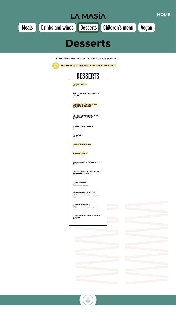**CRÈME BRÜLEE** *5,90 €* 

**NOCILLA CALZONE WITH ICE CREAM** *7,20 €* 

**FRESH FRUIT SALAD WITH TANGERINE SORBET** *6,00 €*

**CARAMEL COATED FRENCH TOAST WITH CUSTARD** *7,20 €* 

**SEMIFREDDO PRALINÉ** *6,10 €*

**BROWNIE**  *6,70 €*

**LEMONADE SORBET** *5,80 €*

**MANGO SORBET** *5,80 €*

<span id="page-3-0"></span>

**TIRAMISU WITH CRISPY BISCUIT**  *7,50 €*

**CHOCOLATE COULANT WITH VANILLA ICE CREAM**  *6,80 €*

**COPA TURRÓN** *7,50 € Nougat ice cream and cream.*

**COPA VARIADA CON NATA** *7,60 € Chocolate, vanilla and strawberry ice cream with cream.*

**COPA DINAMARCA** *7,40 € Vanilla ice cream, chocolate sauce and cream.*

**LEMONADE SLUSHIE & MANGO SLUSHIE** *7,50 €*









**IF YOU HAVE ANY FOOD ALLERGY PLEASE ASK OUR STAFF**



 **OPTIONAL GLUTEN FREE, PLEASE ASK OUR STAFF**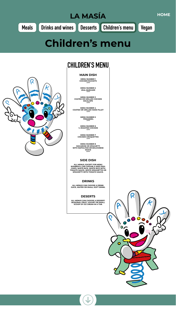<span id="page-4-0"></span>

**MAIN DISH**

**MENU NUMBER 1 CHICKEN NUGGETS** *7,90 €*

**MENU NUMBER 2**



**VEAL BURGUER** *7,90 €*

**MENU NUMBER 3 COATED OR GRILLED CHICKEN ESCALOPE** *7,90 €*

**MENU NUMBER 4 COATED OR GRILLED HAKE FILLET** *7,90 €*

> **MENU NUMBER 5 FRIKANDEL** *7,90 €*

**MENU NUMBER 6 ¼ ROASTED CHICKEN** *7,90 €*

**MENU NUMBER 7 CHICKEN CROQUETTES** *7,90 €*

**MENU NUMBER 8 MACARONI OR SPAGUETTI WITH NAPOLITAN OR BOLOGNESE SAUCE** *6,90 €*

### **SIDE DISH**

**ALL MENUS, EXCEPT FOR MENU NUMBER 8, CAN CHOOSE A SIDE DISH: CHIPS, WHITE RICE, WHITE RICE WITH TOMATO SAUCE, WHITE SPAGHETTIS OR SPAGHETTI WITH TOMATO SAUCE.** 



**ALL MENUS CAN CHOOSE A DRINK: JUICE, WATER OR SMALL SOFT DRINK.**

### **DESERTS**

**ALL MENUS CAN CHOOSE A DESSERT: SEASONAL FRUIT, YOGURT OR SMALL SCOOP OF ICE CREAM IN A TUB.**



 $\mathbf O$ 

 $\cup$ 





### **CHILDREN'S MENU**

## **Children's menu**